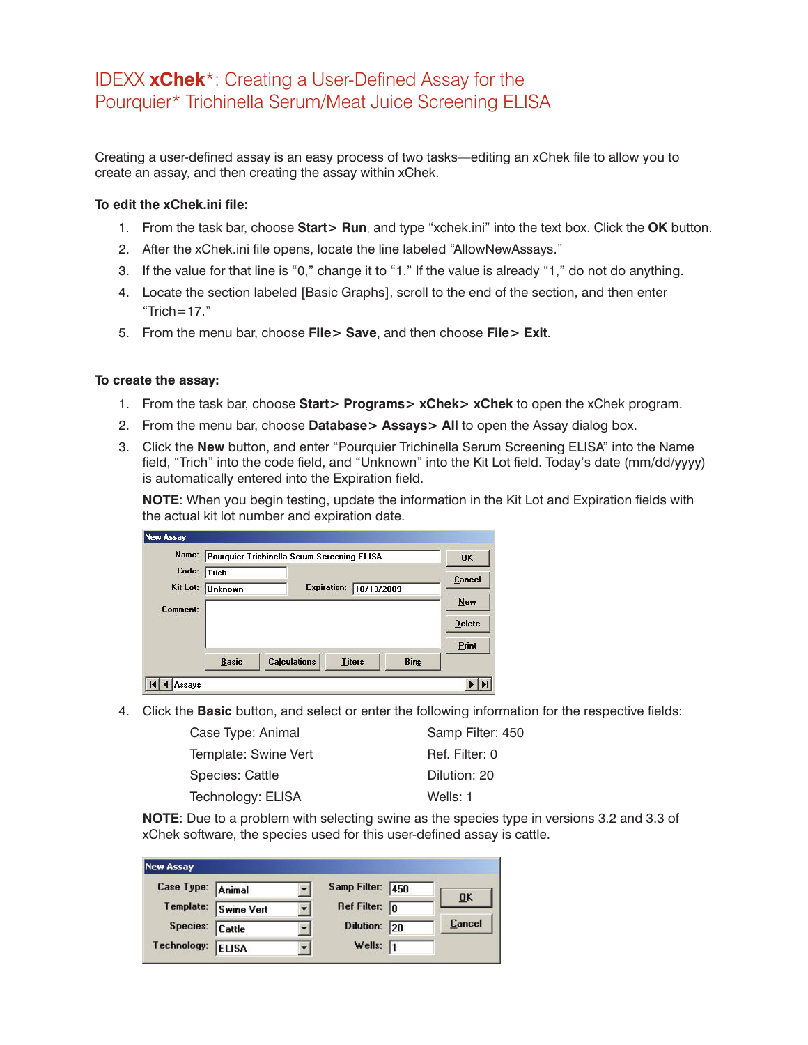## IDEXX **xChek**\*: Creating a User-Defined Assay for the Pourquier\* Trichinella Serum/Meat Juice Screening ELISA

Creating a user-defined assay is an easy process of two tasks—editing an xChek file to allow you to create an assay, and then creating the assay within xChek.

## **To edit the xChek.ini file:**

- 1. From the task bar, choose **Start> Run**, and type "xchek.ini" into the text box. Click the **OK** button.
- 2. After the xChek.ini file opens, locate the line labeled "AllowNewAssays."
- 3. If the value for that line is "0," change it to "1." If the value is already "1," do not do anything.
- 4. Locate the section labeled [Basic Graphs], scroll to the end of the section, and then enter "Trich= $17$ ."
- 5. From the menu bar, choose **File> Save**, and then choose **File> Exit**.

## **To create the assay:**

- 1. From the task bar, choose **Start> Programs> xChek> xChek** to open the xChek program.
- 2. From the menu bar, choose **Database> Assays> All** to open the Assay dialog box.
- 3. Click the **New** button, and enter "Pourquier Trichinella Serum Screening ELISA" into the Name field, "Trich" into the code field, and "Unknown" into the Kit Lot field. Today's date (mm/dd/yyyy) is automatically entered into the Expiration field.

**NOTE**: When you begin testing, update the information in the Kit Lot and Expiration fields with the actual kit lot number and expiration date.

| Name:    | Pourquier Trichinella Serum Screening ELISA |                     |                    | 0K            |             |               |
|----------|---------------------------------------------|---------------------|--------------------|---------------|-------------|---------------|
| Code:    | Trich                                       |                     |                    |               |             | Cancel        |
| Kit Lot: | <b>Unknown</b>                              |                     | <b>Expiration:</b> | 10/13/2009    |             |               |
| Comment: |                                             |                     |                    |               |             | New           |
|          |                                             |                     |                    |               |             | <b>Delete</b> |
|          |                                             |                     |                    |               |             | Print         |
|          | <b>Basic</b>                                | <b>Calculations</b> |                    | <b>Titers</b> | <b>Bins</b> |               |

4. Click the **Basic** button, and select or enter the following information for the respective fields:

| Case Type: Animal    | Samp Filter: 450 |
|----------------------|------------------|
| Template: Swine Vert | Ref. Filter: 0   |
| Species: Cattle      | Dilution: 20     |
| Technology: ELISA    | Wells: 1         |

**NOTE**: Due to a problem with selecting swine as the species type in versions 3.2 and 3.3 of xChek software, the species used for this user-defined assay is cattle.

| <b>New Assay</b>  |                      |                         |     |                |
|-------------------|----------------------|-------------------------|-----|----------------|
| Case Type: Animal |                      | Samp Filter: 450        |     | 0 <sup>K</sup> |
|                   | Template: Swine Vert | Ref Filter: $\boxed{0}$ |     |                |
| Species: Cattle   |                      | <b>Dilution:</b>        | 120 | Cancel         |
| Technology:       | <b>ELISA</b>         | Wells: $\sqrt{1}$       |     |                |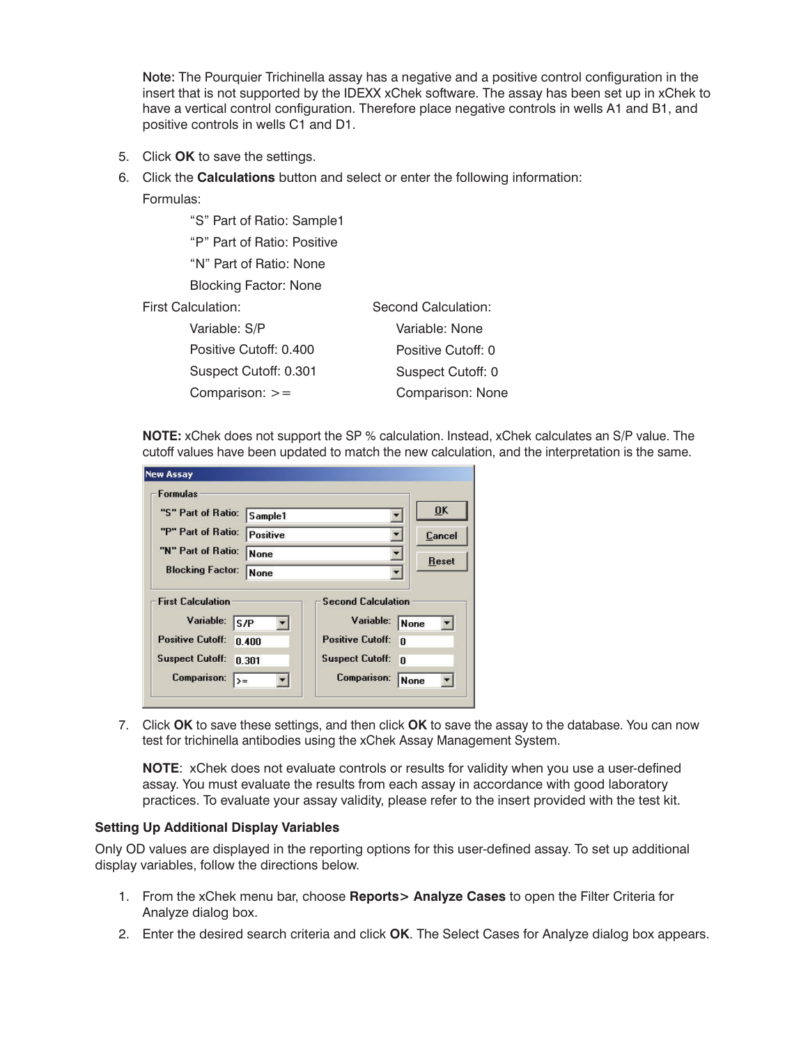Note: The Pourquier Trichinella assay has a negative and a positive control configuration in the insert that is not supported by the IDEXX xChek software. The assay has been set up in xChek to have a vertical control configuration. Therefore place negative controls in wells A1 and B1, and positive controls in wells C1 and D1.

5. Click **OK** to save the settings.

Comparison:  $>=$ 

- 6. Click the **Calculations** button and select or enter the following information:
	- Formulas:

 "S" Part of Ratio: Sample1 "P" Part of Ratio: Positive "N" Part of Ratio: None Blocking Factor: None First Calculation: Variable: S/P Positive Cutoff: 0.400 Suspect Cutoff: 0.301 Second Calculation:

Variable: None Positive Cutoff: 0 Suspect Cutoff: 0 Comparison: None

**NOTE:** xChek does not support the SP % calculation. Instead, xChek calculates an S/P value. The cutoff values have been updated to match the new calculation, and the interpretation is the same.

| <b>Formulas</b>                                                                                                                         |                 |                                                                                                                   |                                          |
|-----------------------------------------------------------------------------------------------------------------------------------------|-----------------|-------------------------------------------------------------------------------------------------------------------|------------------------------------------|
| "S" Part of Ratio:                                                                                                                      | Sample1         |                                                                                                                   | <b>OK</b>                                |
| "P" Part of Ratio:                                                                                                                      | <b>Positive</b> |                                                                                                                   | Cancel                                   |
| "N" Part of Ratio:                                                                                                                      | <b>None</b>     | Reset                                                                                                             |                                          |
| <b>Blocking Factor:</b>                                                                                                                 | None            |                                                                                                                   |                                          |
| <b>First Calculation</b><br>Variable:<br>ls/P<br><b>Positive Cutoff:</b><br><b>Suspect Cutoff:</b><br><b>Comparison:</b><br>$\rangle =$ | 0.400<br>0.301  | <b>Second Calculation</b><br>Variable:<br><b>Positive Cutoff:</b><br><b>Suspect Cutoff:</b><br><b>Comparison:</b> | None<br>n<br>$\mathbf{0}$<br><b>None</b> |

7. Click **OK** to save these settings, and then click **OK** to save the assay to the database. You can now test for trichinella antibodies using the xChek Assay Management System.

**NOTE**: xChek does not evaluate controls or results for validity when you use a user-defined assay. You must evaluate the results from each assay in accordance with good laboratory practices. To evaluate your assay validity, please refer to the insert provided with the test kit.

## **Setting Up Additional Display Variables**

Only OD values are displayed in the reporting options for this user-defined assay. To set up additional display variables, follow the directions below.

- 1. From the xChek menu bar, choose **Reports> Analyze Cases** to open the Filter Criteria for Analyze dialog box.
- 2. Enter the desired search criteria and click **OK**. The Select Cases for Analyze dialog box appears.